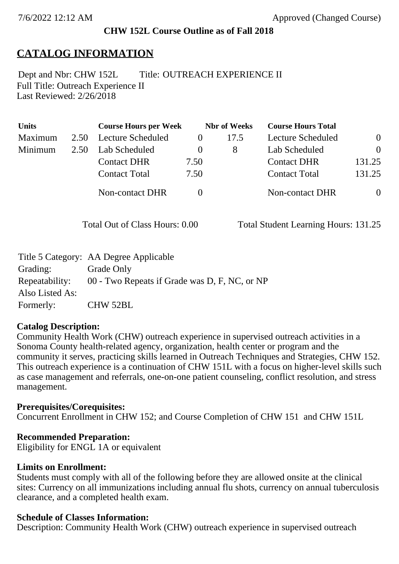## **CHW 152L Course Outline as of Fall 2018**

# **CATALOG INFORMATION**

Full Title: Outreach Experience II Last Reviewed: 2/26/2018 Dept and Nbr: CHW 152L Title: OUTREACH EXPERIENCE II

| <b>Units</b> |      | <b>Course Hours per Week</b> |      | <b>Nbr</b> of Weeks | <b>Course Hours Total</b> |                |
|--------------|------|------------------------------|------|---------------------|---------------------------|----------------|
| Maximum      | 2.50 | <b>Lecture Scheduled</b>     |      | 17.5                | Lecture Scheduled         | $\overline{0}$ |
| Minimum      | 2.50 | Lab Scheduled                | O    | 8                   | Lab Scheduled             | $\theta$       |
|              |      | <b>Contact DHR</b>           | 7.50 |                     | <b>Contact DHR</b>        | 131.25         |
|              |      | <b>Contact Total</b>         | 7.50 |                     | <b>Contact Total</b>      | 131.25         |
|              |      | Non-contact DHR              |      |                     | Non-contact DHR           | $\overline{0}$ |

Total Out of Class Hours: 0.00 Total Student Learning Hours: 131.25

|                 | Title 5 Category: AA Degree Applicable        |
|-----------------|-----------------------------------------------|
| Grading:        | Grade Only                                    |
| Repeatability:  | 00 - Two Repeats if Grade was D, F, NC, or NP |
| Also Listed As: |                                               |
| Formerly:       | CHW 52BL                                      |

## **Catalog Description:**

Community Health Work (CHW) outreach experience in supervised outreach activities in a Sonoma County health-related agency, organization, health center or program and the community it serves, practicing skills learned in Outreach Techniques and Strategies, CHW 152. This outreach experience is a continuation of CHW 151L with a focus on higher-level skills such as case management and referrals, one-on-one patient counseling, conflict resolution, and stress management.

## **Prerequisites/Corequisites:**

Concurrent Enrollment in CHW 152; and Course Completion of CHW 151 and CHW 151L

#### **Recommended Preparation:**

Eligibility for ENGL 1A or equivalent

#### **Limits on Enrollment:**

Students must comply with all of the following before they are allowed onsite at the clinical sites: Currency on all immunizations including annual flu shots, currency on annual tuberculosis clearance, and a completed health exam.

#### **Schedule of Classes Information:**

Description: Community Health Work (CHW) outreach experience in supervised outreach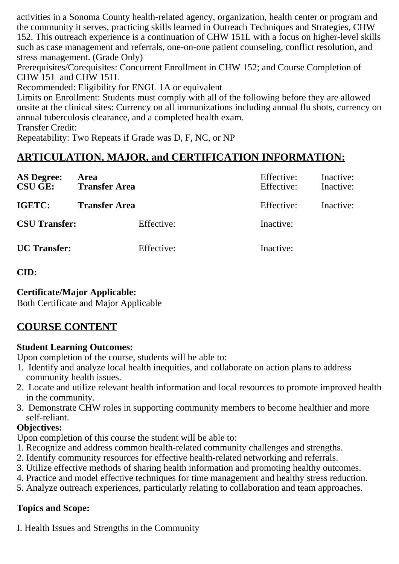activities in a Sonoma County health-related agency, organization, health center or program and the community it serves, practicing skills learned in Outreach Techniques and Strategies, CHW 152. This outreach experience is a continuation of CHW 151L with a focus on higher-level skills such as case management and referrals, one-on-one patient counseling, conflict resolution, and stress management. (Grade Only)

Prerequisites/Corequisites: Concurrent Enrollment in CHW 152; and Course Completion of CHW 151 and CHW 151L

Recommended: Eligibility for ENGL 1A or equivalent

Limits on Enrollment: Students must comply with all of the following before they are allowed onsite at the clinical sites: Currency on all immunizations including annual flu shots, currency on annual tuberculosis clearance, and a completed health exam.

Transfer Credit:

Repeatability: Two Repeats if Grade was D, F, NC, or NP

# **ARTICULATION, MAJOR, and CERTIFICATION INFORMATION:**

| <b>AS Degree:</b><br>CSU GE: | Area<br><b>Transfer Area</b> | Effective:<br>Effective: | Inactive:<br>Inactive: |
|------------------------------|------------------------------|--------------------------|------------------------|
| IGETC:                       | <b>Transfer Area</b>         | Effective:               | Inactive:              |
| <b>CSU Transfer:</b>         | Effective:                   | Inactive:                |                        |
| <b>UC</b> Transfer:          | Effective:                   | Inactive:                |                        |

**CID:**

# **Certificate/Major Applicable:**

[Both Certificate and Major Applicable](SR_ClassCheck.aspx?CourseKey=CHW152L)

# **COURSE CONTENT**

# **Student Learning Outcomes:**

Upon completion of the course, students will be able to:

- 1. Identify and analyze local health inequities, and collaborate on action plans to address community health issues.
- 2. Locate and utilize relevant health information and local resources to promote improved health in the community.
- 3. Demonstrate CHW roles in supporting community members to become healthier and more self-reliant.

# **Objectives:**

Upon completion of this course the student will be able to:

- 1. Recognize and address common health-related community challenges and strengths.
- 2. Identify community resources for effective health-related networking and referrals.
- 3. Utilize effective methods of sharing health information and promoting healthy outcomes.
- 4. Practice and model effective techniques for time management and healthy stress reduction.
- 5. Analyze outreach experiences, particularly relating to collaboration and team approaches.

# **Topics and Scope:**

I. Health Issues and Strengths in the Community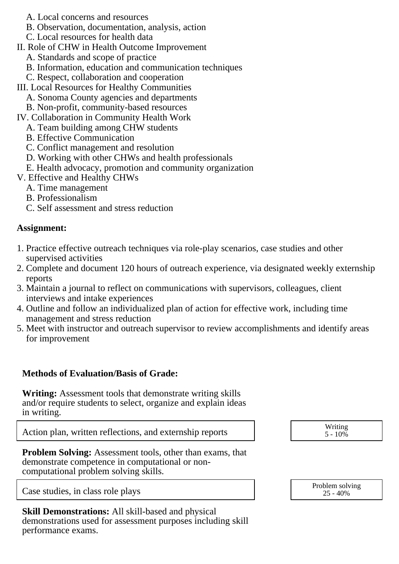- A. Local concerns and resources
- B. Observation, documentation, analysis, action
- C. Local resources for health data
- II. Role of CHW in Health Outcome Improvement
	- A. Standards and scope of practice
	- B. Information, education and communication techniques
	- C. Respect, collaboration and cooperation
- III. Local Resources for Healthy Communities
	- A. Sonoma County agencies and departments
	- B. Non-profit, community-based resources
- IV. Collaboration in Community Health Work
	- A. Team building among CHW students
	- B. Effective Communication
	- C. Conflict management and resolution
	- D. Working with other CHWs and health professionals
	- E. Health advocacy, promotion and community organization
- V. Effective and Healthy CHWs
	- A. Time management
	- B. Professionalism
	- C. Self assessment and stress reduction

## **Assignment:**

- 1. Practice effective outreach techniques via role-play scenarios, case studies and other supervised activities
- 2. Complete and document 120 hours of outreach experience, via designated weekly externship reports
- 3. Maintain a journal to reflect on communications with supervisors, colleagues, client interviews and intake experiences
- 4. Outline and follow an individualized plan of action for effective work, including time management and stress reduction
- 5. Meet with instructor and outreach supervisor to review accomplishments and identify areas for improvement

## **Methods of Evaluation/Basis of Grade:**

**Writing:** Assessment tools that demonstrate writing skills and/or require students to select, organize and explain ideas in writing.

Action plan, written reflections, and externship reports  $\overline{\phantom{a}}$  Writing  $\overline{\phantom{a}}$  Writing

**Problem Solving:** Assessment tools, other than exams, that demonstrate competence in computational or noncomputational problem solving skills.

Case studies, in class role plays Problem solving Problem solving

**Skill Demonstrations:** All skill-based and physical demonstrations used for assessment purposes including skill performance exams.

 $5 - 10\%$ 

25 - 40%